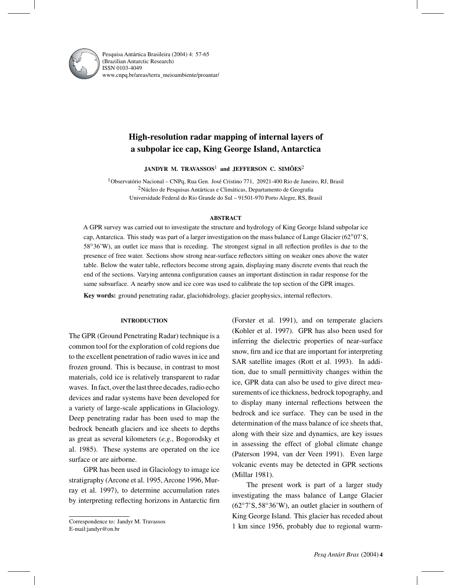

Pesquisa Antártica Brasileira (2004) 4: 57-65 (Brazilian Antarctic Research) ISSN 0103-4049 www.cnpq.br/areas/terra¯ meioambiente/proantar/

# **High-resolution radar mapping of internal layers of a subpolar ice cap, King George Island, Antarctica**

**JANDYR M. TRAVASSOS**<sup>1</sup> **and JEFFERSON C. SIMÕES**<sup>2</sup>

1Observatório Nacional – CNPq, Rua Gen. José Cristino 771, 20921-400 Rio de Janeiro, RJ, Brasil 2Núcleo de Pesquisas Antárticas e Climáticas, Departamento de Geografia Universidade Federal do Rio Grande do Sul – 91501-970 Porto Alegre, RS, Brasil

## **ABSTRACT**

A GPR survey was carried out to investigate the structure and hydrology of King George Island subpolar ice cap, Antarctica. This study was part of a larger investigation on the mass balance of Lange Glacier (62°07'S, 58°36'W), an outlet ice mass that is receding. The strongest signal in all reflection profiles is due to the presence of free water. Sections show strong near-surface reflectors sitting on weaker ones above the water table. Below the water table, reflectors become strong again, displaying many discrete events that reach the end of the sections. Varying antenna configuration causes an important distinction in radar response for the same subsurface. A nearby snow and ice core was used to calibrate the top section of the GPR images.

**Key words:** ground penetrating radar, glaciohidrology, glacier geophysics, internal reflectors.

# **INTRODUCTION**

The GPR (Ground Penetrating Radar) technique is a common tool for the exploration of cold regions due to the excellent penetration of radio waves in ice and frozen ground. This is because, in contrast to most materials, cold ice is relatively transparent to radar waves. In fact, over the last three decades, radio echo devices and radar systems have been developed for a variety of large-scale applications in Glaciology. Deep penetrating radar has been used to map the bedrock beneath glaciers and ice sheets to depths as great as several kilometers (*e.g.*, Bogorodsky et al. 1985). These systems are operated on the ice surface or are airborne.

GPR has been used in Glaciology to image ice stratigraphy (Arcone et al. 1995, Arcone 1996, Murray et al. 1997), to determine accumulation rates by interpreting reflecting horizons in Antarctic firn

Correspondence to: Jandyr M. Travassos E-mail:jandyr@on.br

(Forster et al. 1991), and on temperate glaciers (Kohler et al. 1997). GPR has also been used for inferring the dielectric properties of near-surface snow, firn and ice that are important for interpreting SAR satellite images (Rott et al. 1993). In addition, due to small permittivity changes within the ice, GPR data can also be used to give direct measurements of ice thickness, bedrock topography, and to display many internal reflections between the bedrock and ice surface. They can be used in the determination of the mass balance of ice sheets that, along with their size and dynamics, are key issues in assessing the effect of global climate change (Paterson 1994, van der Veen 1991). Even large volcanic events may be detected in GPR sections (Millar 1981).

The present work is part of a larger study investigating the mass balance of Lange Glacier (62◦7'S, 58◦36'W), an outlet glacier in southern of King George Island. This glacier has receded about 1 km since 1956, probably due to regional warm-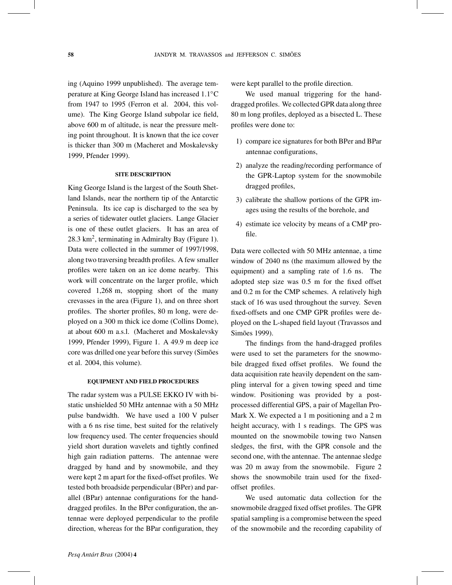ing (Aquino 1999 unpublished). The average temperature at King George Island has increased 1.1◦C from 1947 to 1995 (Ferron et al. 2004, this volume). The King George Island subpolar ice field, above 600 m of altitude, is near the pressure melting point throughout. It is known that the ice cover is thicker than 300 m (Macheret and Moskalevsky 1999, Pfender 1999).

### **SITE DESCRIPTION**

King George Island is the largest of the South Shetland Islands, near the northern tip of the Antarctic Peninsula. Its ice cap is discharged to the sea by a series of tidewater outlet glaciers. Lange Glacier is one of these outlet glaciers. It has an area of 28.3 km2, terminating in Admiralty Bay (Figure 1). Data were collected in the summer of 1997/1998, along two traversing breadth profiles. A few smaller profiles were taken on an ice dome nearby. This work will concentrate on the larger profile, which covered 1,268 m, stopping short of the many crevasses in the area (Figure 1), and on three short profiles. The shorter profiles, 80 m long, were deployed on a 300 m thick ice dome (Collins Dome), at about 600 m a.s.l. (Macheret and Moskalevsky 1999, Pfender 1999), Figure 1. A 49.9 m deep ice core was drilled one year before this survey (Simões et al. 2004, this volume).

#### **EQUIPMENT AND FIELD PROCEDURES**

The radar system was a PULSE EKKO IV with bistatic unshielded 50 MHz antennae with a 50 MHz pulse bandwidth. We have used a 100 V pulser with a 6 ns rise time, best suited for the relatively low frequency used. The center frequencies should yield short duration wavelets and tightly confined high gain radiation patterns. The antennae were dragged by hand and by snowmobile, and they were kept 2 m apart for the fixed-offset profiles. We tested both broadside perpendicular (BPer) and parallel (BPar) antennae configurations for the handdragged profiles. In the BPer configuration, the antennae were deployed perpendicular to the profile direction, whereas for the BPar configuration, they were kept parallel to the profile direction.

We used manual triggering for the handdragged profiles. We collected GPR data along three 80 m long profiles, deployed as a bisected L. These profiles were done to:

- 1) compare ice signatures for both BPer and BPar antennae configurations,
- 2) analyze the reading/recording performance of the GPR-Laptop system for the snowmobile dragged profiles,
- 3) calibrate the shallow portions of the GPR images using the results of the borehole, and
- 4) estimate ice velocity by means of a CMP profile.

Data were collected with 50 MHz antennae, a time window of 2040 ns (the maximum allowed by the equipment) and a sampling rate of 1.6 ns. The adopted step size was 0.5 m for the fixed offset and 0.2 m for the CMP schemes. A relatively high stack of 16 was used throughout the survey. Seven fixed-offsets and one CMP GPR profiles were deployed on the L-shaped field layout (Travassos and Simões 1999).

The findings from the hand-dragged profiles were used to set the parameters for the snowmobile dragged fixed offset profiles. We found the data acquisition rate heavily dependent on the sampling interval for a given towing speed and time window. Positioning was provided by a postprocessed differential GPS, a pair of Magellan Pro-Mark X. We expected a  $1 \text{ m}$  positioning and a  $2 \text{ m}$ height accuracy, with 1 s readings. The GPS was mounted on the snowmobile towing two Nansen sledges, the first, with the GPR console and the second one, with the antennae. The antennae sledge was 20 m away from the snowmobile. Figure 2 shows the snowmobile train used for the fixedoffset profiles.

We used automatic data collection for the snowmobile dragged fixed offset profiles. The GPR spatial sampling is a compromise between the speed of the snowmobile and the recording capability of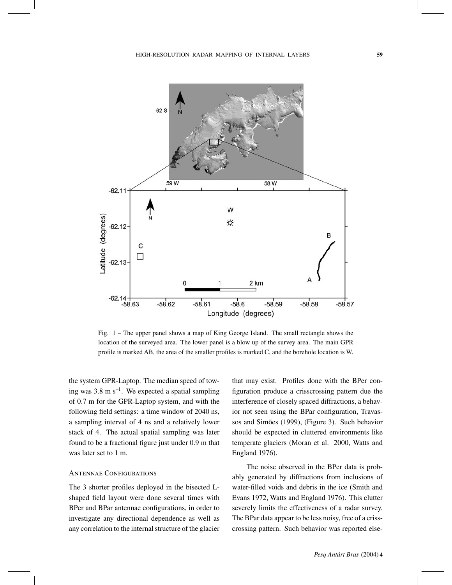$62S$ 





Fig. 1 – The upper panel shows a map of King George Island. The small rectangle shows the location of the surveyed area. The lower panel is a blow up of the survey area. The main GPR profile is marked AB, the area of the smaller profiles is marked C, and the borehole location is W.

the system GPR-Laptop. The median speed of towing was 3.8 m  $s^{-1}$ . We expected a spatial sampling of 0.7 m for the GPR-Laptop system, and with the following field settings: a time window of 2040 ns, a sampling interval of 4 ns and a relatively lower stack of 4. The actual spatial sampling was later found to be a fractional figure just under 0.9 m that was later set to 1 m.

#### Antennae Configurations

The 3 shorter profiles deployed in the bisected Lshaped field layout were done several times with BPer and BPar antennae configurations, in order to investigate any directional dependence as well as any correlation to the internal structure of the glacier that may exist. Profiles done with the BPer configuration produce a crisscrossing pattern due the interference of closely spaced diffractions, a behavior not seen using the BPar configuration, Travassos and Simões (1999), (Figure 3). Such behavior should be expected in cluttered environments like temperate glaciers (Moran et al. 2000, Watts and England 1976).

The noise observed in the BPer data is probably generated by diffractions from inclusions of water-filled voids and debris in the ice (Smith and Evans 1972, Watts and England 1976). This clutter severely limits the effectiveness of a radar survey. The BPar data appear to be less noisy, free of a crisscrossing pattern. Such behavior was reported else-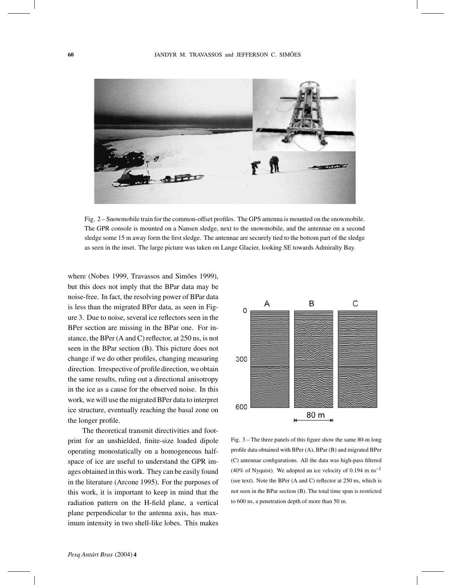

Fig. 2 – Snowmobile train for the common-offset profiles. The GPS antenna is mounted on the snowmobile. The GPR console is mounted on a Nansen sledge, next to the snowmobile, and the antennae on a second sledge some 15 m away form the first sledge. The antennae are securely tied to the bottom part of the sledge as seen in the inset. The large picture was taken on Lange Glacier, looking SE towards Admiralty Bay.

where (Nobes 1999, Travassos and Simões 1999), but this does not imply that the BPar data may be noise-free. In fact, the resolving power of BPar data is less than the migrated BPer data, as seen in Figure 3. Due to noise, several ice reflectors seen in the BPer section are missing in the BPar one. For instance, the BPer (A and C) reflector, at 250 ns, is not seen in the BPar section (B). This picture does not change if we do other profiles, changing measuring direction. Irrespective of profile direction, we obtain the same results, ruling out a directional anisotropy in the ice as a cause for the observed noise. In this work, we will use the migrated BPer data to interpret ice structure, eventually reaching the basal zone on the longer profile.

The theoretical transmit directivities and footprint for an unshielded, finite-size loaded dipole operating monostatically on a homogeneous halfspace of ice are useful to understand the GPR images obtained in this work. They can be easily found in the literature (Arcone 1995). For the purposes of this work, it is important to keep in mind that the radiation pattern on the H-field plane, a vertical plane perpendicular to the antenna axis, has maximum intensity in two shell-like lobes. This makes



Fig. 3 – The three panels of this figure show the same 80-m long profile data obtained with BPer (A), BPar (B) and migrated BPer (C) antennae configurations. All the data was high-pass filtered (40% of Nyquist). We adopted an ice velocity of 0.194 m  $\text{ns}^{-1}$ (see text). Note the BPer (A and C) reflector at 250 ns, which is not seen in the BPar section (B). The total time span is restricted to 600 ns, a penetration depth of more than 50 m.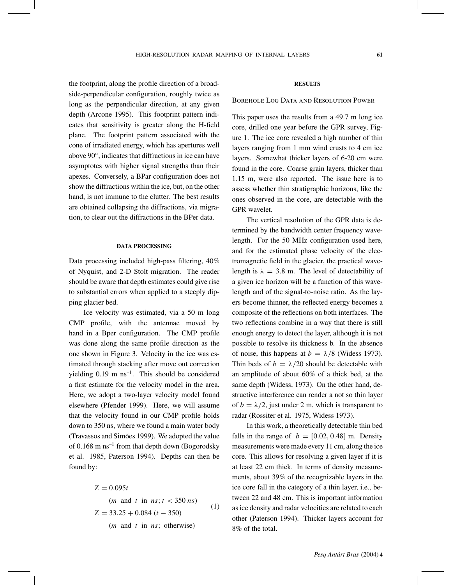the footprint, along the profile direction of a broadside-perpendicular configuration, roughly twice as long as the perpendicular direction, at any given depth (Arcone 1995). This footprint pattern indicates that sensitivity is greater along the H-field plane. The footprint pattern associated with the cone of irradiated energy, which has apertures well above 90◦, indicates that diffractions in ice can have asymptotes with higher signal strengths than their apexes. Conversely, a BPar configuration does not show the diffractions within the ice, but, on the other hand, is not immune to the clutter. The best results are obtained collapsing the diffractions, via migration, to clear out the diffractions in the BPer data.

## **DATA PROCESSING**

Data processing included high-pass filtering, 40% of Nyquist, and 2-D Stolt migration. The reader should be aware that depth estimates could give rise to substantial errors when applied to a steeply dipping glacier bed.

Ice velocity was estimated, via a 50 m long CMP profile, with the antennae moved by hand in a Bper configuration. The CMP profile was done along the same profile direction as the one shown in Figure 3. Velocity in the ice was estimated through stacking after move out correction yielding  $0.19 \text{ m} \text{ ns}^{-1}$ . This should be considered a first estimate for the velocity model in the area. Here, we adopt a two-layer velocity model found elsewhere (Pfender 1999). Here, we will assume that the velocity found in our CMP profile holds down to 350 ns, where we found a main water body (Travassos and Simões 1999). We adopted the value of  $0.168$  m ns<sup>-1</sup> from that depth down (Bogorodsky et al. 1985, Paterson 1994). Depths can then be found by:

$$
Z = 0.095t
$$
  
\n(*m* and *t* in *ns*; *t* < 350 *ns*)  
\n
$$
Z = 33.25 + 0.084 (t - 350)
$$
  
\n(*m* and *t* in *ns*; otherwise) (1)

## **RESULTS**

#### Borehole Log Data and Resolution Power

This paper uses the results from a 49.7 m long ice core, drilled one year before the GPR survey, Figure 1. The ice core revealed a high number of thin layers ranging from 1 mm wind crusts to 4 cm ice layers. Somewhat thicker layers of 6-20 cm were found in the core. Coarse grain layers, thicker than 1.15 m, were also reported. The issue here is to assess whether thin stratigraphic horizons, like the ones observed in the core, are detectable with the GPR wavelet.

The vertical resolution of the GPR data is determined by the bandwidth center frequency wavelength. For the 50 MHz configuration used here, and for the estimated phase velocity of the electromagnetic field in the glacier, the practical wavelength is  $\lambda = 3.8$  m. The level of detectability of a given ice horizon will be a function of this wavelength and of the signal-to-noise ratio. As the layers become thinner, the reflected energy becomes a composite of the reflections on both interfaces. The two reflections combine in a way that there is still enough energy to detect the layer, although it is not possible to resolve its thickness b. In the absence of noise, this happens at  $b = \lambda/8$  (Widess 1973). Thin beds of  $b = \lambda/20$  should be detectable with an amplitude of about 60% of a thick bed, at the same depth (Widess, 1973). On the other hand, destructive interference can render a not so thin layer of  $b = \lambda/2$ , just under 2 m, which is transparent to radar (Rossiter et al. 1975, Widess 1973).

In this work, a theoretically detectable thin bed falls in the range of  $b = [0.02, 0.48]$  m. Density measurements were made every 11 cm, along the ice core. This allows for resolving a given layer if it is at least 22 cm thick. In terms of density measurements, about 39% of the recognizable layers in the ice core fall in the category of a thin layer, i.e., between 22 and 48 cm. This is important information as ice density and radar velocities are related to each other (Paterson 1994). Thicker layers account for 8% of the total.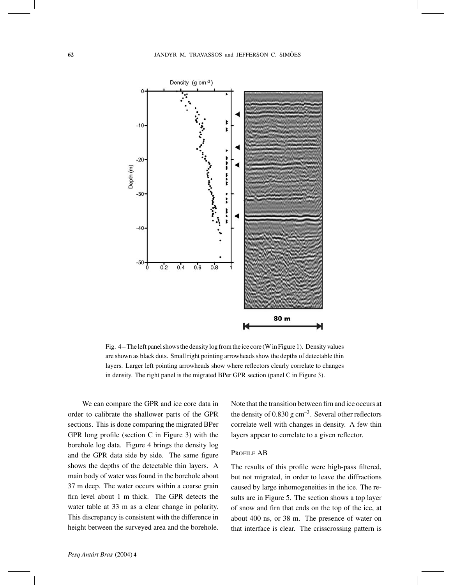

Fig. 4 – The left panel shows the density log from the ice core (W in Figure 1). Density values are shown as black dots. Small right pointing arrowheads show the depths of detectable thin layers. Larger left pointing arrowheads show where reflectors clearly correlate to changes in density. The right panel is the migrated BPer GPR section (panel C in Figure 3).

We can compare the GPR and ice core data in order to calibrate the shallower parts of the GPR sections. This is done comparing the migrated BPer GPR long profile (section C in Figure 3) with the borehole log data. Figure 4 brings the density log and the GPR data side by side. The same figure shows the depths of the detectable thin layers. A main body of water was found in the borehole about 37 m deep. The water occurs within a coarse grain firn level about 1 m thick. The GPR detects the water table at 33 m as a clear change in polarity. This discrepancy is consistent with the difference in height between the surveyed area and the borehole. Note that the transition between firn and ice occurs at the density of  $0.830$  g cm<sup>-3</sup>. Several other reflectors correlate well with changes in density. A few thin layers appear to correlate to a given reflector.

### PROFILE AB

The results of this profile were high-pass filtered, but not migrated, in order to leave the diffractions caused by large inhomogeneities in the ice. The results are in Figure 5. The section shows a top layer of snow and firn that ends on the top of the ice, at about 400 ns, or 38 m. The presence of water on that interface is clear. The crisscrossing pattern is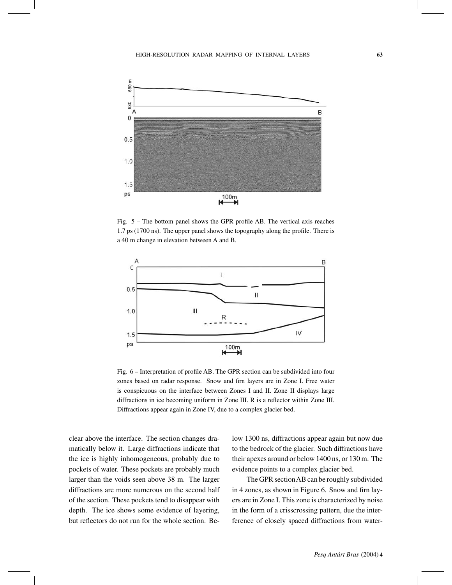

Fig. 5 – The bottom panel shows the GPR profile AB. The vertical axis reaches 1.7 ps (1700 ns). The upper panel shows the topography along the profile. There is a 40 m change in elevation between A and B.



Fig. 6 – Interpretation of profile AB. The GPR section can be subdivided into four zones based on radar response. Snow and firn layers are in Zone I. Free water is conspicuous on the interface between Zones I and II. Zone II displays large diffractions in ice becoming uniform in Zone III. R is a reflector within Zone III. Diffractions appear again in Zone IV, due to a complex glacier bed.

clear above the interface. The section changes dramatically below it. Large diffractions indicate that the ice is highly inhomogeneous, probably due to pockets of water. These pockets are probably much larger than the voids seen above 38 m. The larger diffractions are more numerous on the second half of the section. These pockets tend to disappear with depth. The ice shows some evidence of layering, but reflectors do not run for the whole section. Below 1300 ns, diffractions appear again but now due to the bedrock of the glacier. Such diffractions have their apexes around or below 1400 ns, or 130 m. The evidence points to a complex glacier bed.

The GPR sectionAB can be roughly subdivided in 4 zones, as shown in Figure 6. Snow and firn layers are in Zone I. This zone is characterized by noise in the form of a crisscrossing pattern, due the interference of closely spaced diffractions from water-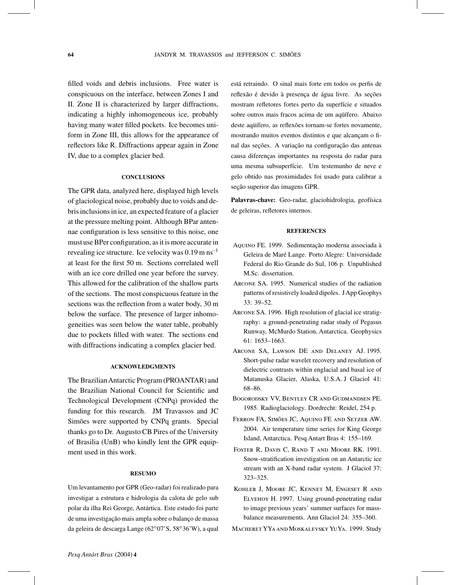filled voids and debris inclusions. Free water is conspicuous on the interface, between Zones I and II. Zone II is characterized by larger diffractions, indicating a highly inhomogeneous ice, probably having many water filled pockets. Ice becomes uniform in Zone III, this allows for the appearance of reflectors like R. Diffractions appear again in Zone IV, due to a complex glacier bed.

## **CONCLUSIONS**

The GPR data, analyzed here, displayed high levels of glaciological noise, probably due to voids and debris inclusions in ice, an expected feature of a glacier at the pressure melting point. Although BPar antennae configuration is less sensitive to this noise, one must use BPer configuration, as it is more accurate in revealing ice structure. Ice velocity was  $0.19 \text{ m/s}^{-1}$ at least for the first 50 m. Sections correlated well with an ice core drilled one year before the survey. This allowed for the calibration of the shallow parts of the sections. The most conspicuous feature in the sections was the reflection from a water body, 30 m below the surface. The presence of larger inhomogeneities was seen below the water table, probably due to pockets filled with water. The sections end with diffractions indicating a complex glacier bed.

#### **ACKNOWLEDGMENTS**

The BrazilianAntarctic Program (PROANTAR) and the Brazilian National Council for Scientific and Technological Development (CNPq) provided the funding for this research. JM Travassos and JC Simões were supported by CNPq grants. Special thanks go to Dr. Augusto CB Pires of the University of Brasilia (UnB) who kindly lent the GPR equipment used in this work.

#### **RESUMO**

Um levantamento por GPR (Geo-radar) foi realizado para investigar a estrutura e hidrologia da calota de gelo sub polar da ilha Rei George, Antártica. Este estudo foi parte de uma investigação mais ampla sobre o balanço de massa da geleira de descarga Lange (62◦07'S, 58◦36'W), a qual

está retraindo. O sinal mais forte em todos os perfis de reflexão é devido à presença de água livre. As seções mostram refletores fortes perto da superfície e situados sobre outros mais fracos acima de um aqüífero. Abaixo deste aqüífero, as reflexões tornam-se fortes novamente, mostrando muitos eventos distintos e que alcançam o final das seções. A variação na configuração das antenas causa diferenças importantes na resposta do radar para uma mesma subsuperfície. Um testemunho de neve e gelo obtido nas proximidades foi usado para calibrar a seção superior das imagens GPR.

**Palavras-chave:** Geo-radar, glaciohidrologia, geofísica de geleiras, refletores internos.

# **REFERENCES**

- Aquino FE. 1999. Sedimentação moderna associada à Geleira de Maré Lange. Porto Alegre: Universidade Federal do Rio Grande do Sul, 106 p. Unpublished M.Sc. dissertation.
- Arcone SA. 1995. Numerical studies of the radiation patterns of resistively loaded dipoles. JApp Geophys 33: 39–52.
- Arcone SA. 1996. High resolution of glacial ice stratigraphy: a ground-penetrating radar study of Pegasus Runway, McMurdo Station, Antarctica. Geophysics 61: 1653–1663.
- Arcone SA, Lawson DE and Delaney AJ. 1995. Short-pulse radar wavelet recovery and resolution of dielectric contrasts within englacial and basal ice of Matanuska Glacier, Alaska, U.S.A. J Glaciol 41: 68–86.
- Bogorodsky VV, Bentley CR and Gudmandsen PE. 1985. Radioglaciology. Dordrecht: Reidel, 254 p.
- Ferron FA, Simões JC, Aquino FE and Setzer AW. 2004. Air temperature time series for King George Island, Antarctica. Pesq Antart Bras 4: 155–169.
- Foster R, Davis C, Rand T and Moore RK. 1991. Snow-stratification investigation on an Antarctic ice stream with an X-band radar system. J Glaciol 37: 323–325.
- Kohler J, Moore JC, Kennet M, Engeset R and Elvehoy H. 1997. Using ground-penetrating radar to image previous years' summer surfaces for massbalance measurements. Ann Glaciol 24: 355–360.
- MACHERET YYA AND MOSKALEVSKY YUYA. 1999. Study